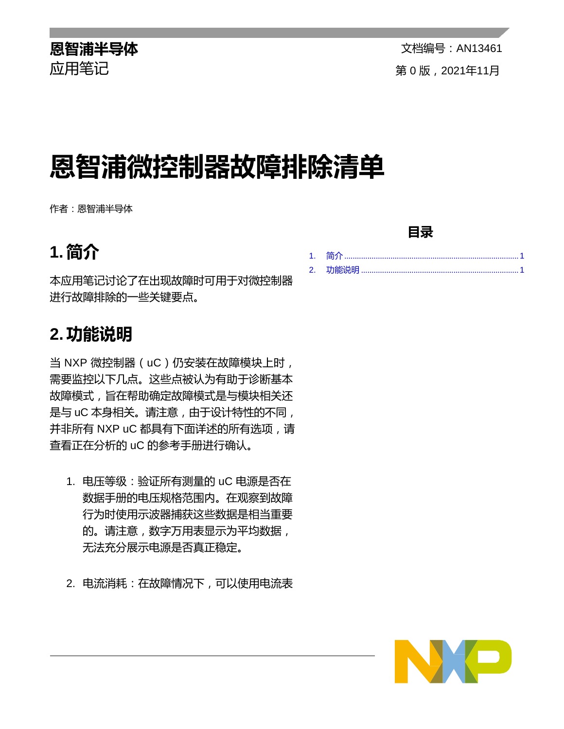# **恩智浦微控制器故障排除清单**

作者:恩智浦半导体

## <span id="page-0-0"></span>**1. 简介**

本应用笔记讨论了在出现故障时可用于对微控制器 进行故障排除的一些关键要点。

### <span id="page-0-1"></span>**2.功能说明**

当 NXP 微控制器 (uC)仍安装在故障模块上时, 需要监控以下几点。这些点被认为有助于诊断基本 故障模式,旨在帮助确定故障模式是与模块相关还 是与 uC 本身相关。请注意, 由于设计特性的不同, 并非所有 NXP uC 都具有下面详述的所有选项, 请 查看正在分析的 uC 的参考手册进行确认。

- 1. 电压等级:验证所有测量的 uC 电源是否在 数据手册的电压规格范围内。在观察到故障 行为时使用示波器捕获这些数据是相当重要 的。请注意,数字万用表显示为平均数据, 无法充分展示电源是否真正稳定。
- 2. 电流消耗:在故障情况下,可以使用电流表
- 
- 1. 简介 [...................................................................................](#page-0-0) 1 2. 功能说明 [...........................................................................](#page-0-1) 1





#### **目录**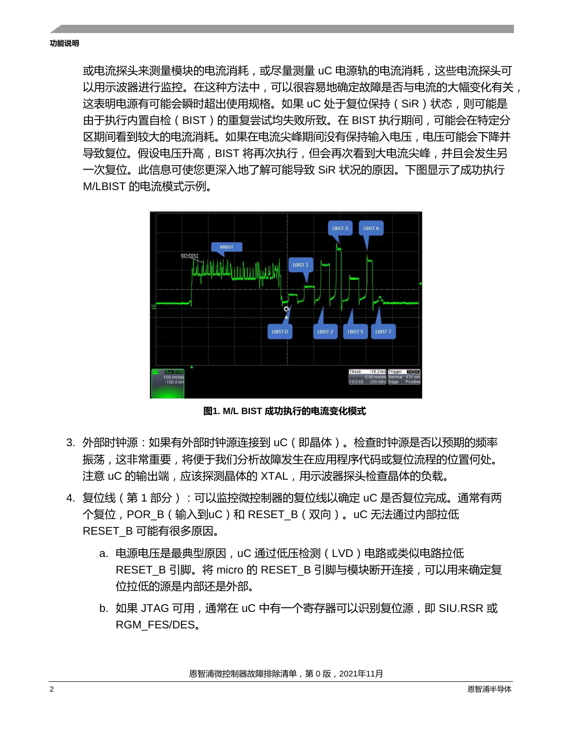或电流探头来测量模块的电流消耗,或尽量测量 uC 电源轨的电流消耗,这些电流探头可 以用示波器进行监控。在这种方法中,可以很容易地确定故障是否与电流的大幅变化有关, 这表明电源有可能会瞬时超出使用规格。如果 uC 处于复位保持(SiR)状态,则可能是 由于执行内置自检(BIST)的重复尝试均失败所致。在 BIST 执行期间,可能会在特定分 区期间看到较大的电流消耗。如果在电流尖峰期间没有保持输入电压,电压可能会下降并 导致复位。假设电压升高,BIST 将再次执行,但会再次看到大电流尖峰,并且会发生另 一次复位。此信息可使您更深入地了解可能导致 SiR 状况的原因。下图显示了成功执行 M/LBIST 的电流模式示例。



**图1. M/L BIST 成功执行的电流变化模式**

- 3. 外部时钟源:如果有外部时钟源连接到 uC(即晶体)。检查时钟源是否以预期的频率 振荡,这非常重要,将便于我们分析故障发生在应用程序代码或复位流程的位置何处。 注意 uC 的输出端,应该探测晶体的 XTAL,用示波器探头检查晶体的负载。
- 4. 复位线(第 1 部分):可以监控微控制器的复位线以确定 uC 是否复位完成。通常有两 个复位,POR B (输入到uC)和 RESET B (双向)。uC 无法通过内部拉低 RESET\_B 可能有很多原因。
	- a. 电源电压是最典型原因,uC 通过低压检测(LVD)电路或类似电路拉低 RESET B 引脚。将 micro 的 RESET B 引脚与模块断开连接, 可以用来确定复 位拉低的源是内部还是外部。
	- b. 如果 JTAG 可用, 通常在 uC 中有一个寄存器可以识别复位源, 即 SIU.RSR 或 RGM\_FES/DES。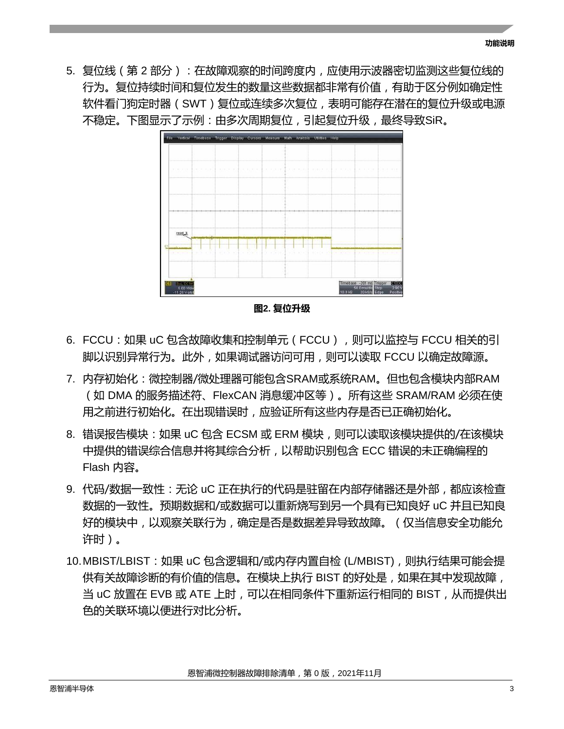5. 复位线(第 2 部分):在故障观察的时间跨度内,应使用示波器密切监测这些复位线的 行为。复位持续时间和复位发生的数量这些数据都非常有价值,有助于区分例如确定性 软件看门狗定时器(SWT)复位或连续多次复位,表明可能存在潜在的复位升级或电源 不稳定。下图显示了示例:由多次周期复位,引起复位升级,最终导致SiR。



**图2. 复位升级**

- 6. FCCU: 如果 uC 包含故障收集和控制单元 (FCCU), 则可以监控与 FCCU 相关的引 脚以识别异常行为。此外,如果调试器访问可用,则可以读取 FCCU 以确定故障源。
- 7. 内存初始化:微控制器/微处理器可能包含SRAM或系统RAM。但也包含模块内部RAM (如 DMA 的服务描述符、FlexCAN 消息缓冲区等)。所有这些 SRAM/RAM 必须在使 用之前进行初始化。在出现错误时,应验证所有这些内存是否已正确初始化。
- 8. 错误报告模块:如果 uC 包含 ECSM 或 ERM 模块,则可以读取该模块提供的/在该模块 中提供的错误综合信息并将其综合分析,以帮助识别包含 ECC 错误的未正确编程的 Flash 内容。
- 9. 代码/数据一致性:无论 uC 正在执行的代码是驻留在内部存储器还是外部,都应该检查 数据的一致性。预期数据和/或数据可以重新烧写到另一个具有已知良好 uC 并且已知良 好的模块中,以观察关联行为,确定是否是数据差异导致故障。(仅当信息安全功能允 许时)。
- 10.MBIST/LBIST:如果 uC 包含逻辑和/或内存内置自检 (L/MBIST),则执行结果可能会提 供有关故障诊断的有价值的信息。在模块上执行 BIST 的好处是,如果在其中发现故障, 当 uC 放置在 EVB 或 ATE 上时,可以在相同条件下重新运行相同的 BIST,从而提供出 色的关联环境以便进行对比分析。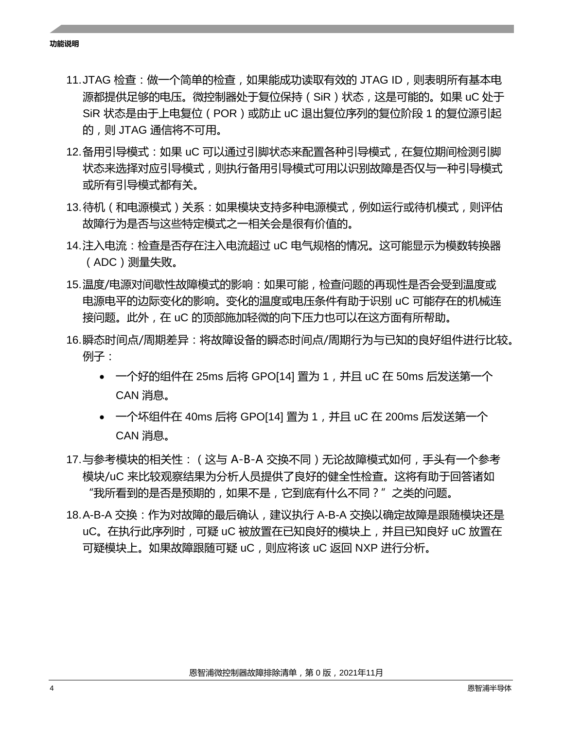**功能说明**

- 11.JTAG 检查:做一个简单的检查,如果能成功读取有效的 JTAG ID,则表明所有基本电 源都提供足够的电压。微控制器处于复位保持(SiR)状态,这是可能的。如果 uC 处于 SiR 状态是由于上电复位 ( POR ) 或防止 uC 退出复位序列的复位阶段 1 的复位源引起 的,则 JTAG 通信将不可用。
- 12.备用引导模式:如果 uC 可以通过引脚状态来配置各种引导模式,在复位期间检测引脚 状态来选择对应引导模式,则执行备用引导模式可用以识别故障是否仅与一种引导模式, 或所有引导模式都有关。
- 13.待机(和电源模式)关系:如果模块支持多种电源模式,例如运行或待机模式,则评估 故障行为是否与这些特定模式之一相关会是很有价值的。
- 14.注入电流:检查是否存在注入电流超过 uC 电气规格的情况。这可能显示为模数转换器 (ADC)测量失败。
- 15.温度/电源对间歇性故障模式的影响:如果可能,检查问题的再现性是否会受到温度或 电源电平的边际变化的影响。变化的温度或电压条件有助于识别 uC 可能存在的机械连 接问题。此外,在 uC 的顶部施加轻微的向下压力也可以在这方面有所帮助。
- 16.瞬态时间点/周期差异:将故障设备的瞬态时间点/周期行为与已知的良好组件进行比较。 例子:
	- 一个好的组件在 25ms 后将 GPO[14] 置为 1, 并且 uC 在 50ms 后发送第一个 CAN 消息。
	- 一个坏组件在 40ms 后将 GPO[14] 置为 1 , 并且 uC 在 200ms 后发送第一个 CAN 消息。
- 17.与参考模块的相关性: ( 这与 A-B-A 交换不同 ) 无论故障模式如何 , 手头有一个参考 模块/uC 来比较观察结果为分析人员提供了良好的健全性检查。这将有助于回答诸如 "我所看到的是否是预期的,如果不是,它到底有什么不同?"之类的问题。
- 18.A-B-A 交换:作为对故障的最后确认, 建议执行 A-B-A 交换以确定故障是跟随模块还是 uC。在执行此序列时,可疑 uC 被放置在已知良好的模块上, 并且已知良好 uC 放置在 可疑模块上。如果故障跟随可疑 uC,则应将该 uC 返回 NXP 进行分析。